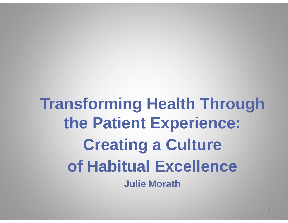**Transforming Health Through the Patient Experience: Creating a Culture of Habitual Excellence Julie Morath**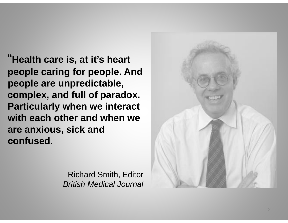"**H lth i t it' h t Health care is, at it's heart people caring for people. And people are unpredictable people unpredictable, complex, and full of paradox. Particularly when we interact with each other and when we are anxious, sick and**   $\bf{confused}$  .

> Richard Smith, Editor *British Medical Journal*

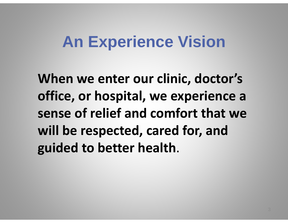### **An Experience Vision**

**When we enter our clinic , doctor's office, or hospital, we experience a sense of relief and comfort that we will be respected, cared for, and guided to better health**.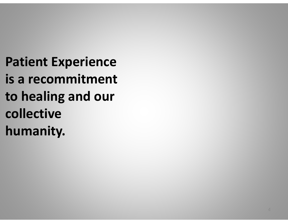**P i at ent E i xper ence is a recommitment to healing and our collecti e collective humanity.**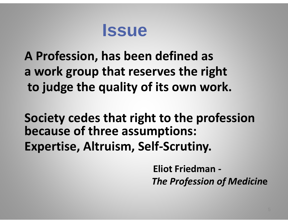### **Issue**

**A Profession has been defined as Profession, a work group that reserves the right to j du ge the quality of its own work.**

**Society cedes that right to the profession because of three assumptions: Expertise, Altruism, Self‐Scrutiny.**

> **Eliot Fri de man** *‐ The Profession of Medicin***<sup>e</sup>**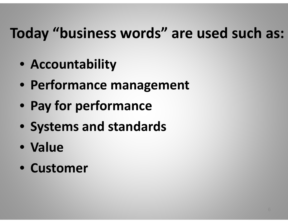# **T do ay "b i us ness word "s are used such as:**

- **Accountability**
- **Performance management**
- **Pay for performance**
- **Systems and standards**
- **Value**
- **C t us omer**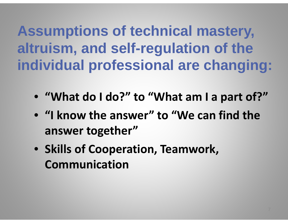**Assumptions of technical mastery mastery, altruism, and self-regulation of the individual professional are changing:**

- **"What do I do?" to "What am I a part of?"**
- **"I knowthe answer " to "We can fi dn dtheanswer together"**
- **Skills of Cooperation, Teamwork, Communication**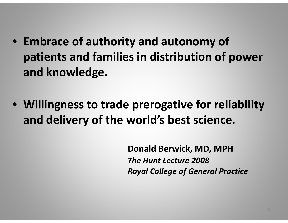- **Embrace of authority and autonomy of patients and families familiesin distribution of power and knowledge.**
- **Willingness to trade prerogative for reliability and delivery of the world's best science.**

**Donald Berwick, MD, MPH** *The Hunt Lecture 2008Royal College of General Practice*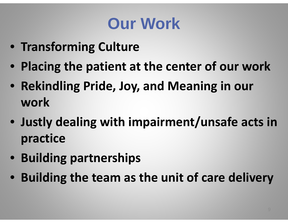# **Our Work**

- **Transforming Culture**
- **Placing the patient at the center of our work**
- **Rekindling Pride, Joy, and Meaning in our work**
- **Justly dealing with impairment/unsafe acts in practice**
- **Building partnerships**
- **Building the team as the unit of care delivery**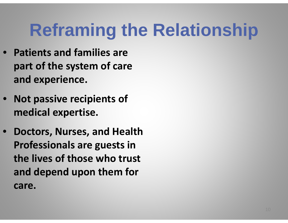# **Reframing the Relationship the**

- **Patients and families are part of the system of care and ex perience.**
- **Not passive recipients of medical expertise.**
- **Doctors, Nurses, and Health Professionals are guests in the lives of those who trust and depend upon them for care.**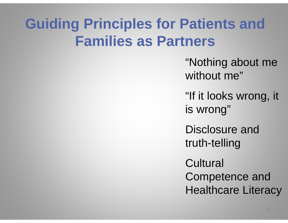### **Guiding p Principles for Patients and Families as Partners**

"Nothing about me without me"

"If it looks wrong, it is wrong"

Disclosure and truth-telling

**Cultural** Competence and Healthcare Literacy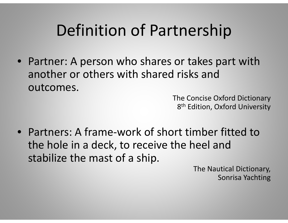# Definition of Partnership

• Partner: A person who shares or takes part with another or others with shared risks and outcomes.

> The Concise Oxford Dictionary 8<sup>th</sup> Edition, Oxford University

• Partners: A frame‐work of short timber fitted to the hole in <sup>a</sup> deck, to receive the heel and stabilize the mast of <sup>a</sup> ship.

> The Nautical Dictionary, Sonrisa Yachting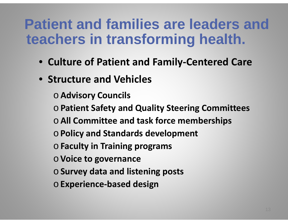#### **Patient and families are leaders and teachers in transforming health.**

- **Culture of Patient and Family ‐Centered Care**
- **Structure and Vehicles**
	- <sup>o</sup>**Advisory Councils**
	- <sup>o</sup>**Patient Safet y and Q y ualit Steerin g Committees**
	- <sup>o</sup>**All Committee and task force memberships**
	- <sup>o</sup>**Policy and Standards development**
	- <sup>o</sup>**Faculty in Training programs**
	- o**Voice to governance**
	- <sup>o</sup>**Survey data and listening posts**
	- <sup>o</sup>**Experience ‐based design**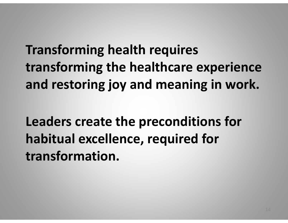**Transforming health requires transforming the healthcare experience and restoring joy and meaning in work.**

**Leaders create the preconditions for habitual excellence, required for transformation.**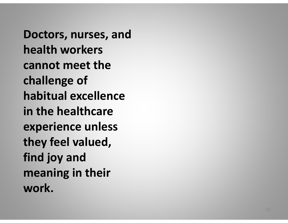**Doctors, nurses, and health workers cannot meet thechallenge of habitual excellencein the healthcare experience unless they feel valued**, **find joy and meaning in their work.**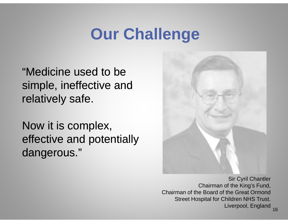# **O Ch ll Our Challenge**

"Medicine used to be simple, ineffective and relatively safe.

Now it is complex, effective and potentially dangerous."



Sir Cyril Chantler Chairman of the King's Fund, Chairman of the Board of the Great OrmondStreet Hospital for Children NHS Trust. Liverpool, England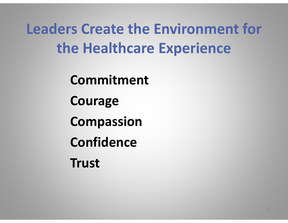**Leaders Create the Environment for the Healthcare Experience**

**Commitment**

**Courage**

**Compassion**

**C fid on ence**

**Trust**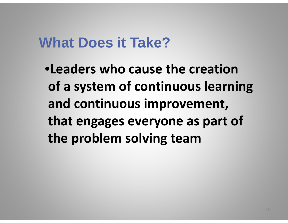#### **What Does it Take?**

•**Leaders who cause the creation of a system of continuous learning and continuous improvement, that engages everyone as part of the problem solving team**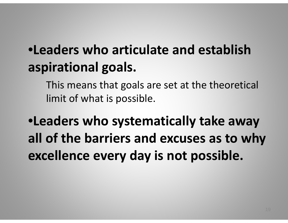### •**Leaders who articulate and establish aspirational goals.**

This means that goals are set at the theoretical limit of what is possible.

•**Leaders who systematically take away all of the barriers and excuses as to why excellence every day is not possible.**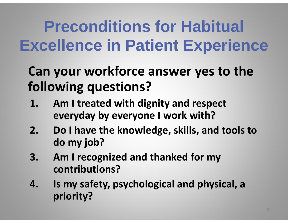# **Preconditions for Habitual Excellence in Patient Experience**

#### **Can your workforce answer yes to the following questions?**

- **1. Am I treated with dignity and respect every day b y everyone I wor k with?**
- $2.$  **I have the knowledge, skills, and tools to d o my job?**
- **3. Am I recognized and thanked for my contrib i ? ut ons**
- **4. Is my safety, psychological and physical, a priority?**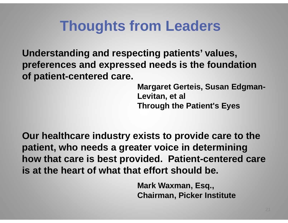#### **Thoughts from Leaders**

**Understandin g p gp , and res pectin g patients' values, preferences and expressed needs is the foundation of patient-centered care.**

> Margaret Gerteis, Susan Edgman-**Levitan, et al Through the Patient's Eyes**

**Our healthcare industry exists to provide care to the care patient, who needs a greater voice in determining how that care is best provided. Patient-centered care is at the heart of what that effort should be.**

> **Mark Waxman, Esq., Ch i Pi k I tit t airman, c ker Instit u te**